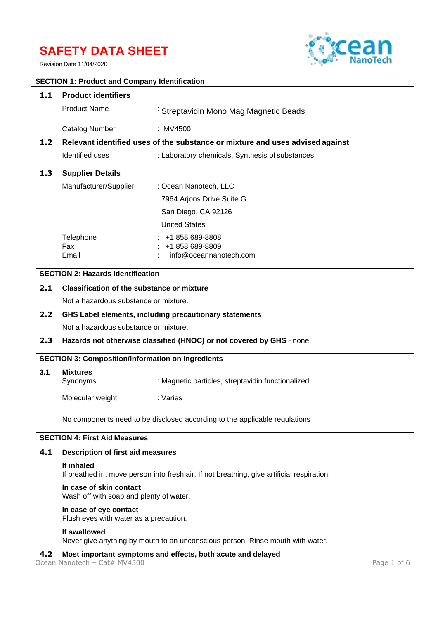# **SAFETY DATA SHEET**

Revision Date 11/04/2020



# **SECTION 1: Product and Company Identification**

| 1.1              | <b>Product identifiers</b>                                                    |                                                                 |  |
|------------------|-------------------------------------------------------------------------------|-----------------------------------------------------------------|--|
|                  | <b>Product Name</b>                                                           | Streptavidin Mono Mag Magnetic Beads                            |  |
|                  | Catalog Number                                                                | : MV4500                                                        |  |
| 1.2 <sub>1</sub> | Relevant identified uses of the substance or mixture and uses advised against |                                                                 |  |
|                  | Identified uses                                                               | : Laboratory chemicals, Synthesis of substances                 |  |
| 1.3              | <b>Supplier Details</b>                                                       |                                                                 |  |
|                  | Manufacturer/Supplier                                                         | : Ocean Nanotech, LLC                                           |  |
|                  |                                                                               | 7964 Arjons Drive Suite G                                       |  |
|                  |                                                                               | San Diego, CA 92126                                             |  |
|                  |                                                                               | <b>United States</b>                                            |  |
|                  | Telephone<br>Fax<br>Email                                                     | $: 41858689-8808$<br>$: 1858689-8809$<br>info@oceannanotech.com |  |

# **SECTION 2: Hazards Identification**

# **2.1 Classification of the substance or mixture**

Not a hazardous substance or mixture.

#### **2.2 GHS Label elements, including precautionary statements**

Not a hazardous substance or mixture.

#### **2.3 Hazards not otherwise classified (HNOC) or not covered by GHS** - none

#### **SECTION 3: Composition/Information on Ingredients**

| 3.1 | <b>Mixtures</b><br>Synonyms | : Magnetic particles, streptavidin functionalized |
|-----|-----------------------------|---------------------------------------------------|
|     | Molecular weight            | : Varies                                          |

No components need to be disclosed according to the applicable regulations

# **SECTION 4: First Aid Measures**

#### **4.1 Description of first aid measures**

#### **If inhaled**

If breathed in, move person into fresh air. If not breathing, give artificial respiration.

#### **In case of skin contact**

Wash off with soap and plenty of water.

#### **In case of eye contact**

Flush eyes with water as a precaution.

#### **If swallowed**

Never give anything by mouth to an unconscious person. Rinse mouth with water.

#### **4.2 Most important symptoms and effects, both acute and delayed**

Ocean Nanotech – Cat# MV4500 Page 1 of 6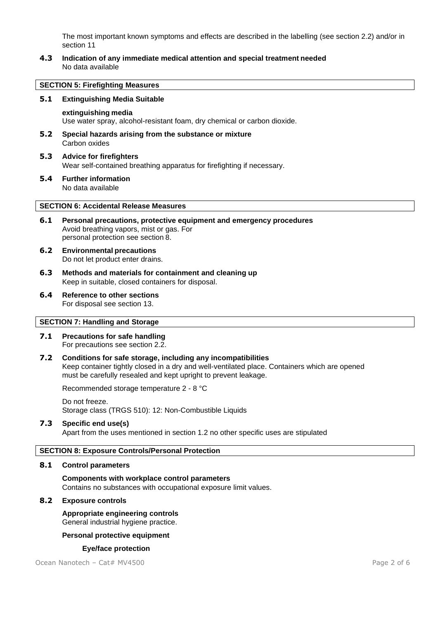The most important known symptoms and effects are described in the labelling (see section 2.2) and/or in section 11

**4.3 Indication of any immediate medical attention and special treatment needed** No data available

#### **SECTION 5: Firefighting Measures**

#### **5.1 Extinguishing Media Suitable**

#### **extinguishing media**

Use water spray, alcohol-resistant foam, dry chemical or carbon dioxide.

- **5.2 Special hazards arising from the substance or mixture** Carbon oxides
- **5.3 Advice for firefighters** Wear self-contained breathing apparatus for firefighting if necessary.
- **5.4 Further information** No data available

#### **SECTION 6: Accidental Release Measures**

- **6.1 Personal precautions, protective equipment and emergency procedures** Avoid breathing vapors, mist or gas. For personal protection see section 8.
- **6.2 Environmental precautions** Do not let product enter drains.
- **6.3 Methods and materials for containment and cleaning up** Keep in suitable, closed containers for disposal.
- **6.4 Reference to other sections** For disposal see section 13.

### **SECTION 7: Handling and Storage**

- **7.1 Precautions for safe handling** For precautions see section 2.2.
- **7.2 Conditions for safe storage, including any incompatibilities** Keep container tightly closed in a dry and well-ventilated place. Containers which are opened must be carefully resealed and kept upright to prevent leakage.

Recommended storage temperature 2 - 8 °C

Do not freeze. Storage class (TRGS 510): 12: Non-Combustible Liquids

#### **7.3 Specific end use(s)**

Apart from the uses mentioned in section 1.2 no other specific uses are stipulated

#### **SECTION 8: Exposure Controls/Personal Protection**

#### **8.1 Control parameters**

**Components with workplace control parameters** Contains no substances with occupational exposure limit values.

#### **8.2 Exposure controls**

**Appropriate engineering controls** General industrial hygiene practice.

#### **Personal protective equipment**

#### **Eye/face protection**

Ocean Nanotech – Cat# MV4500 Page 2 of 6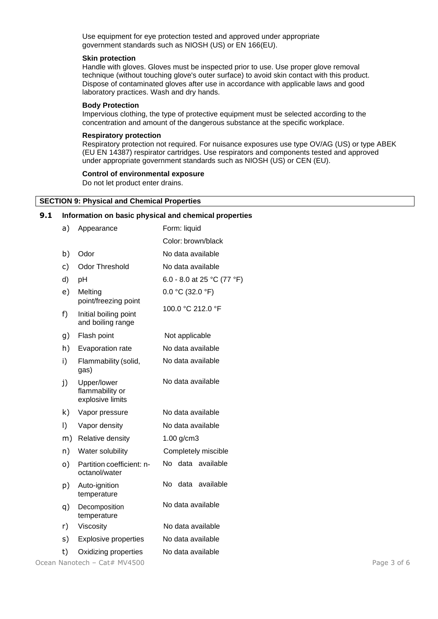Use equipment for eye protection tested and approved under appropriate government standards such as NIOSH (US) or EN 166(EU).

#### **Skin protection**

Handle with gloves. Gloves must be inspected prior to use. Use proper glove removal technique (without touching glove's outer surface) to avoid skin contact with this product. Dispose of contaminated gloves after use in accordance with applicable laws and good laboratory practices. Wash and dry hands.

#### **Body Protection**

Impervious clothing, the type of protective equipment must be selected according to the concentration and amount of the dangerous substance at the specific workplace.

#### **Respiratory protection**

Respiratory protection not required. For nuisance exposures use type OV/AG (US) or type ABEK (EU EN 14387) respirator cartridges. Use respirators and components tested and approved under appropriate government standards such as NIOSH (US) or CEN (EU).

#### **Control of environmental exposure**

Do not let product enter drains.

#### **SECTION 9: Physical and Chemical Properties**

#### **9.1 Information on basic physical and chemical properties**

| Appearance                                         | Form: liquid               |
|----------------------------------------------------|----------------------------|
|                                                    | Color: brown/black         |
| Odor                                               | No data available          |
| <b>Odor Threshold</b>                              | No data available          |
| pH                                                 | 6.0 - 8.0 at 25 °C (77 °F) |
| Melting<br>point/freezing point                    | $0.0 °C$ (32.0 °F)         |
| Initial boiling point<br>and boiling range         | 100.0 °C 212.0 °F          |
| Flash point                                        | Not applicable             |
| Evaporation rate                                   | No data available          |
| Flammability (solid,<br>gas)                       | No data available          |
| Upper/lower<br>flammability or<br>explosive limits | No data available          |
| Vapor pressure                                     | No data available          |
| Vapor density                                      | No data available          |
| Relative density                                   | $1.00$ g/cm3               |
| Water solubility                                   | Completely miscible        |
| Partition coefficient: n-<br>octanol/water         | No data available          |
| Auto-ignition<br>temperature                       | No<br>data<br>available    |
| Decomposition<br>temperature                       | No data available          |
| Viscosity                                          | No data available          |
| <b>Explosive properties</b>                        | No data available          |
| Oxidizing properties                               | No data available          |
|                                                    |                            |

Ocean Nanotech – Cat# MV4500 Page 3 of 6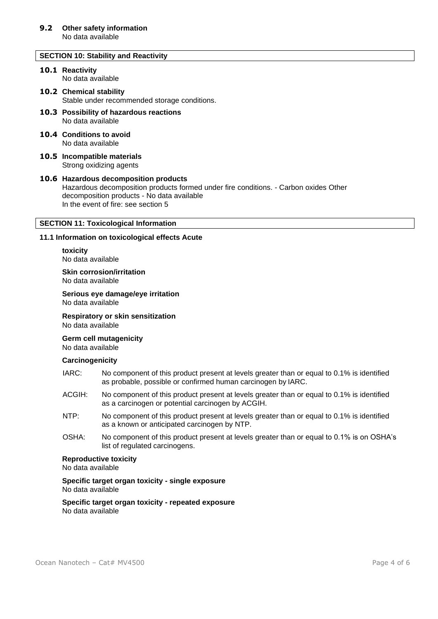#### **SECTION 10: Stability and Reactivity**

#### **10.1 Reactivity** No data available

# **10.2 Chemical stability**

Stable under recommended storage conditions.

- **10.3 Possibility of hazardous reactions** No data available
- **10.4 Conditions to avoid** No data available
- **10.5 Incompatible materials** Strong oxidizing agents

#### **10.6 Hazardous decomposition products** Hazardous decomposition products formed under fire conditions. - Carbon oxides Other decomposition products - No data available In the event of fire: see section 5

### **SECTION 11: Toxicological Information**

#### **11.1 Information on toxicological effects Acute**

**toxicity** No data available

**Skin corrosion/irritation** No data available

**Serious eye damage/eye irritation** No data available

**Respiratory or skin sensitization**

No data available

**Germ cell mutagenicity**

No data available

#### **Carcinogenicity**

- IARC: No component of this product present at levels greater than or equal to 0.1% is identified as probable, possible or confirmed human carcinogen by IARC.
- ACGIH: No component of this product present at levels greater than or equal to 0.1% is identified as a carcinogen or potential carcinogen by ACGIH.
- NTP: No component of this product present at levels greater than or equal to 0.1% is identified as a known or anticipated carcinogen by NTP.
- OSHA: No component of this product present at levels greater than or equal to 0.1% is on OSHA's list of regulated carcinogens.

#### **Reproductive toxicity**

No data available

**Specific target organ toxicity - single exposure** No data available

**Specific target organ toxicity - repeated exposure** No data available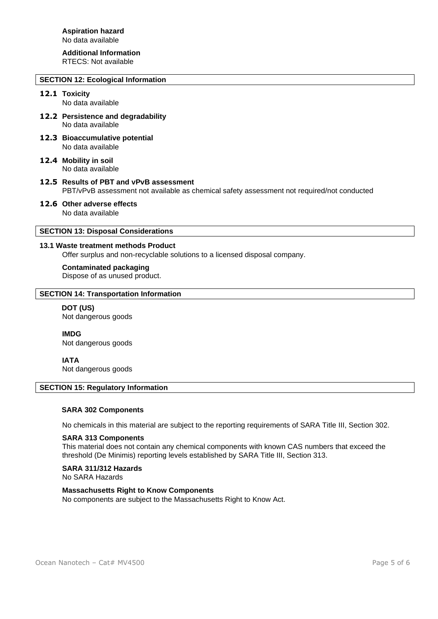# **Additional Information**

RTECS: Not available

# **SECTION 12: Ecological Information**

# **12.1 Toxicity**

No data available

- **12.2 Persistence and degradability** No data available
- **12.3 Bioaccumulative potential** No data available
- **12.4 Mobility in soil** No data available
- **12.5 Results of PBT and vPvB assessment** PBT/vPvB assessment not available as chemical safety assessment not required/not conducted
- **12.6 Other adverse effects** No data available

# **SECTION 13: Disposal Considerations**

## **13.1 Waste treatment methods Product**

Offer surplus and non-recyclable solutions to a licensed disposal company.

#### **Contaminated packaging**

Dispose of as unused product.

# **SECTION 14: Transportation Information**

#### **DOT (US)** Not dangerous goods

**IMDG**

Not dangerous goods

# **IATA**

Not dangerous goods

#### **SECTION 15: Regulatory Information**

#### **SARA 302 Components**

No chemicals in this material are subject to the reporting requirements of SARA Title III, Section 302.

#### **SARA 313 Components**

This material does not contain any chemical components with known CAS numbers that exceed the threshold (De Minimis) reporting levels established by SARA Title III, Section 313.

#### **SARA 311/312 Hazards**

No SARA Hazards

# **Massachusetts Right to Know Components**

No components are subject to the Massachusetts Right to Know Act.